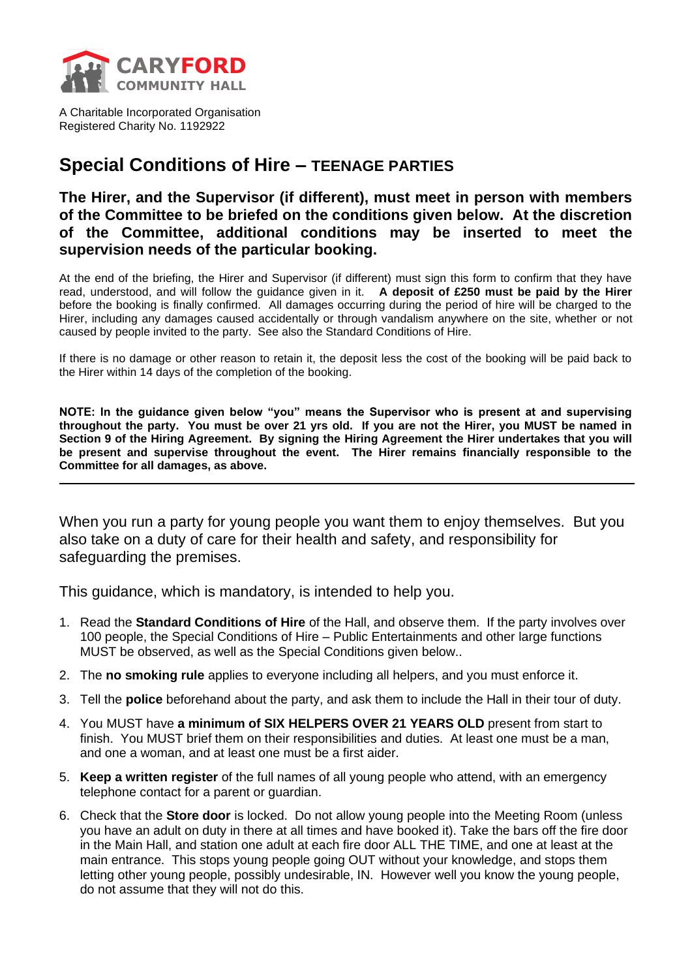

A Charitable Incorporated Organisation Registered Charity No. 1192922

## **Special Conditions of Hire – TEENAGE PARTIES**

**The Hirer, and the Supervisor (if different), must meet in person with members of the Committee to be briefed on the conditions given below. At the discretion of the Committee, additional conditions may be inserted to meet the supervision needs of the particular booking.**

At the end of the briefing, the Hirer and Supervisor (if different) must sign this form to confirm that they have read, understood, and will follow the guidance given in it. **A deposit of £250 must be paid by the Hirer** before the booking is finally confirmed. All damages occurring during the period of hire will be charged to the Hirer, including any damages caused accidentally or through vandalism anywhere on the site, whether or not caused by people invited to the party. See also the Standard Conditions of Hire.

If there is no damage or other reason to retain it, the deposit less the cost of the booking will be paid back to the Hirer within 14 days of the completion of the booking.

**NOTE: In the guidance given below "you" means the Supervisor who is present at and supervising throughout the party. You must be over 21 yrs old. If you are not the Hirer, you MUST be named in Section 9 of the Hiring Agreement. By signing the Hiring Agreement the Hirer undertakes that you will be present and supervise throughout the event. The Hirer remains financially responsible to the Committee for all damages, as above.**

When you run a party for young people you want them to enjoy themselves. But you also take on a duty of care for their health and safety, and responsibility for safeguarding the premises.

This guidance, which is mandatory, is intended to help you.

- 1. Read the **Standard Conditions of Hire** of the Hall, and observe them. If the party involves over 100 people, the Special Conditions of Hire – Public Entertainments and other large functions MUST be observed, as well as the Special Conditions given below..
- 2. The **no smoking rule** applies to everyone including all helpers, and you must enforce it.
- 3. Tell the **police** beforehand about the party, and ask them to include the Hall in their tour of duty.
- 4. You MUST have **a minimum of SIX HELPERS OVER 21 YEARS OLD** present from start to finish. You MUST brief them on their responsibilities and duties. At least one must be a man, and one a woman, and at least one must be a first aider.
- 5. **Keep a written register** of the full names of all young people who attend, with an emergency telephone contact for a parent or guardian.
- 6. Check that the **Store door** is locked. Do not allow young people into the Meeting Room (unless you have an adult on duty in there at all times and have booked it). Take the bars off the fire door in the Main Hall, and station one adult at each fire door ALL THE TIME, and one at least at the main entrance. This stops young people going OUT without your knowledge, and stops them letting other young people, possibly undesirable, IN. However well you know the young people, do not assume that they will not do this.